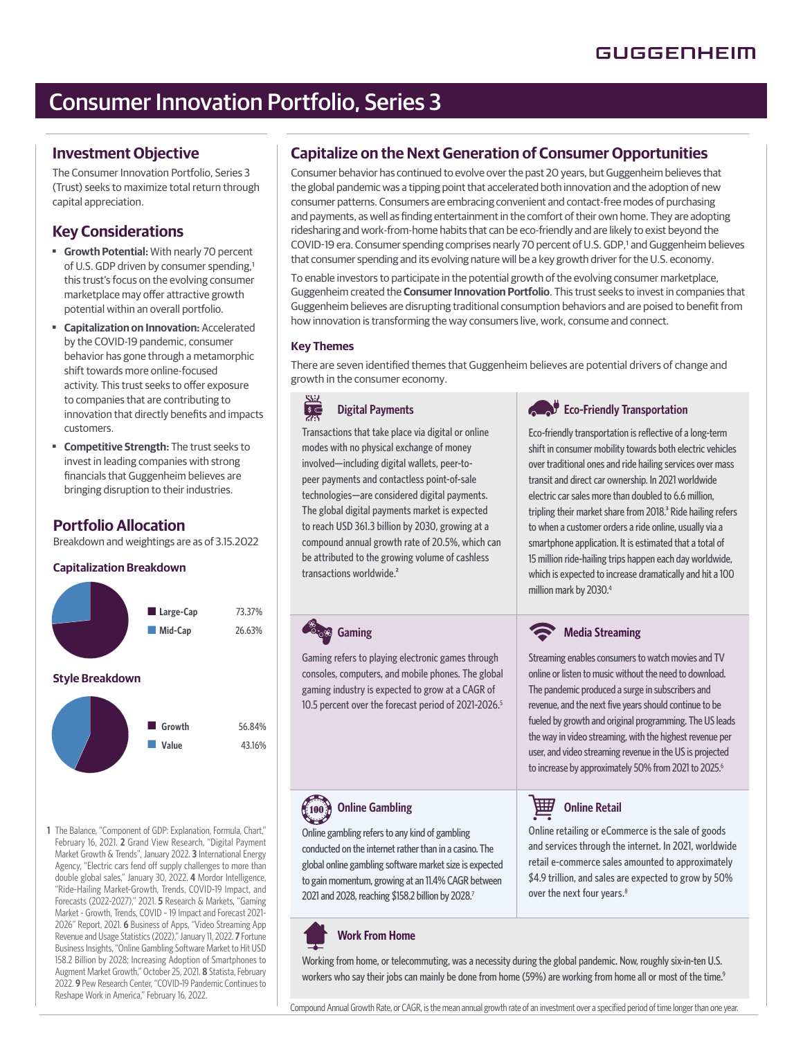# Consumer Innovation Portfolio, Series 3

### **Investment Objective**

The Consumer Innovation Portfolio, Series 3 (Trust) seeks to maximize total return through capital appreciation.

## **Key Considerations**

- ■ **Growth Potential:** With nearly 70 percent of U.S. GDP driven by consumer spending,<sup>1</sup> this trust's focus on the evolving consumer marketplace may offer attractive growth potential within an overall portfolio.
- ■ **Capitalization on Innovation:** Accelerated by the COVID-19 pandemic, consumer behavior has gone through a metamorphic shift towards more online-focused activity. This trust seeks to offer exposure to companies that are contributing to innovation that directly benefits and impacts customers.
- **Competitive Strength:** The trust seeks to invest in leading companies with strong financials that Guggenheim believes are bringing disruption to their industries.

## **Portfolio Allocation**

Breakdown and weightings are as of 3.15.2022

### **Capitalization Breakdown**



**1** The Balance, "Component of GDP: Explanation, Formula, Chart," February 16, 2021. **2** Grand View Research, "Digital Payment Market Growth & Trends", January 2022. **3** International Energy Agency, "Electric cars fend off supply challenges to more than double global sales," January 30, 2022. **4** Mordor Intelligence, "Ride-Hailing Market-Growth, Trends, COVID-19 Impact, and Forecasts (2022-2027)," 2021. **5** Research & Markets, "Gaming Market - Growth, Trends, COVID – 19 Impact and Forecast 2021- 2026" Report, 2021. **6** Business of Apps, "Video Streaming App Revenue and Usage Statistics (2022)," January 11, 2022. **7** Fortune Business Insights, "Online Gambling Software Market to Hit USD 158.2 Billion by 2028; Increasing Adoption of Smartphones to Augment Market Growth," October 25, 2021. **8** Statista, February 2022. **9** Pew Research Center, "COVID-19 Pandemic Continues to Reshape Work in America," February 16, 2022.

## **Capitalize on the Next Generation of Consumer Opportunities**

Consumer behavior has continued to evolve over the past 20 years, but Guggenheim believes that the global pandemic was a tipping point that accelerated both innovation and the adoption of new consumer patterns. Consumers are embracing convenient and contact-free modes of purchasing and payments, as well as finding entertainment in the comfort of their own home. They are adopting ridesharing and work-from-home habits that can be eco-friendly and are likely to exist beyond the COVID-19 era. Consumer spending comprises nearly 70 percent of U.S. GDP,1 and Guggenheim believes that consumer spending and its evolving nature will be a key growth driver for the U.S. economy.

To enable investors to participate in the potential growth of the evolving consumer marketplace, Guggenheim created the **Consumer Innovation Portfolio**. This trust seeks to invest in companies that Guggenheim believes are disrupting traditional consumption behaviors and are poised to benefit from how innovation is transforming the way consumers live, work, consume and connect.

### **Key Themes**

There are seven identified themes that Guggenheim believes are potential drivers of change and growth in the consumer economy.

#### **Digital Payments**  $rac{1}{\sqrt{2}}$

Transactions that take place via digital or online modes with no physical exchange of money involved—including digital wallets, peer-topeer payments and contactless point-of-sale technologies—are considered digital payments. The global digital payments market is expected to reach USD 361.3 billion by 2030, growing at a compound annual growth rate of 20.5%, which can be attributed to the growing volume of cashless transactions worldwide.<sup>2</sup>

Gaming refers to playing electronic games through consoles, computers, and mobile phones. The global gaming industry is expected to grow at a CAGR of 10.5 percent over the forecast period of 2021-2026.<sup>5</sup>

## **Eco-Friendly Transportation**

Eco-friendly transportation is reflective of a long-term shift in consumer mobility towards both electric vehicles over traditional ones and ride hailing services over mass transit and direct car ownership. In 2021 worldwide electric car sales more than doubled to 6.6 million, tripling their market share from 2018.<sup>3</sup> Ride hailing refers to when a customer orders a ride online, usually via a smartphone application. It is estimated that a total of 15 million ride-hailing trips happen each day worldwide, which is expected to increase dramatically and hit a 100 million mark by 2030.<sup>4</sup>

## **Media Streaming**

Streaming enables consumers to watch movies and TV online or listen to music without the need to download. The pandemic produced a surge in subscribers and revenue, and the next five years should continue to be fueled by growth and original programming. The US leads the way in video streaming, with the highest revenue per user, and video streaming revenue in the US is projected to increase by approximately 50% from 2021 to 2025.<sup>6</sup>

囲 **Online Retail** 

Online retailing or eCommerce is the sale of goods and services through the internet. In 2021, worldwide retail e-commerce sales amounted to approximately \$4.9 trillion, and sales are expected to grow by 50% over the next four years.<sup>8</sup>

## Online gambling refers to any kind of gambling

 $(100)$ 

**Online Gambling**

**Gaming** 

conducted on the internet rather than in a casino. The global online gambling software market size is expected to gain momentum, growing at an 11.4% CAGR between 2021 and 2028, reaching \$158.2 billion by 2028.7

## **Work From Home**

Working from home, or telecommuting, was a necessity during the global pandemic. Now, roughly six-in-ten U.S. workers who say their jobs can mainly be done from home (59%) are working from home all or most of the time.<sup>9</sup>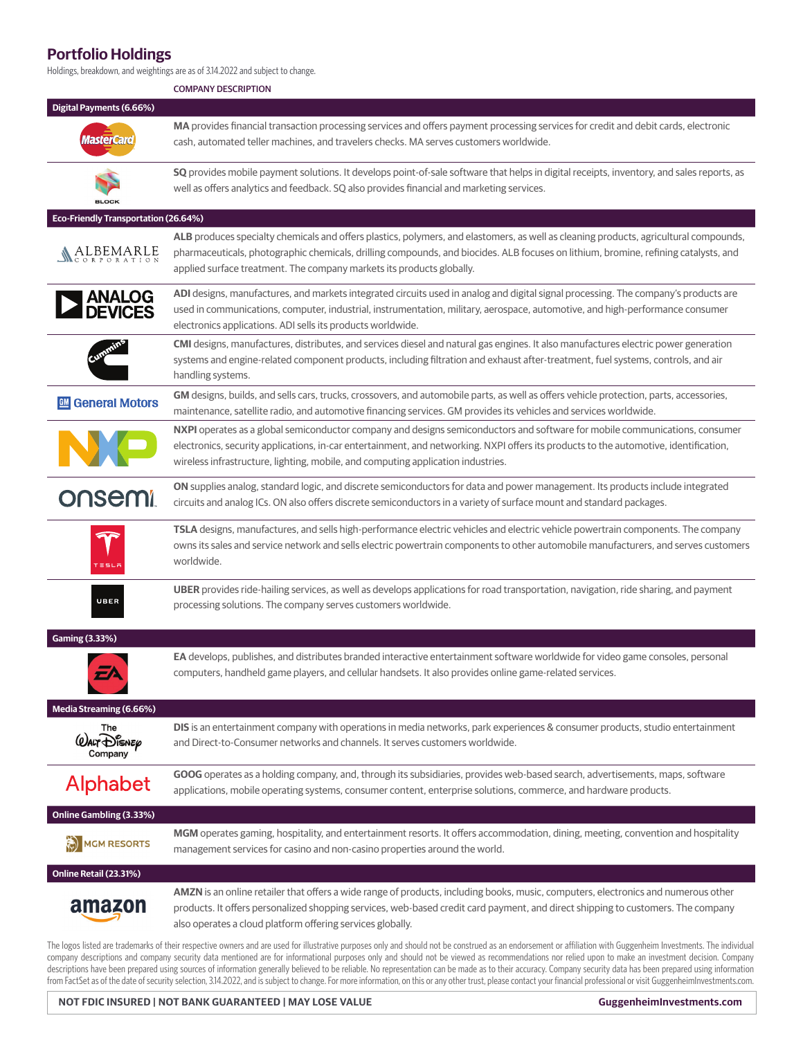## **Portfolio Holdings**

Holdings, breakdown, and weightings are as of 3.14.2022 and subject to change.

COMPANY DESCRIPTION

|                                                  | <b>COMPANY DESCRIPTION</b>                                                                                                                                                                                                                                                                                                                               |
|--------------------------------------------------|----------------------------------------------------------------------------------------------------------------------------------------------------------------------------------------------------------------------------------------------------------------------------------------------------------------------------------------------------------|
| Digital Payments (6.66%)                         |                                                                                                                                                                                                                                                                                                                                                          |
| <b>MasterCard</b>                                | MA provides financial transaction processing services and offers payment processing services for credit and debit cards, electronic<br>cash, automated teller machines, and travelers checks. MA serves customers worldwide.                                                                                                                             |
| <b>BLOCK</b>                                     | SQ provides mobile payment solutions. It develops point-of-sale software that helps in digital receipts, inventory, and sales reports, as<br>well as offers analytics and feedback. SQ also provides financial and marketing services.                                                                                                                   |
| Eco-Friendly Transportation (26.64%)             |                                                                                                                                                                                                                                                                                                                                                          |
| ALBEMARLE                                        | ALB produces specialty chemicals and offers plastics, polymers, and elastomers, as well as cleaning products, agricultural compounds,<br>pharmaceuticals, photographic chemicals, drilling compounds, and biocides. ALB focuses on lithium, bromine, refining catalysts, and<br>applied surface treatment. The company markets its products globally.    |
| <b>  ANALOG<br/>  DEVICES</b>                    | ADI designs, manufactures, and markets integrated circuits used in analog and digital signal processing. The company's products are<br>used in communications, computer, industrial, instrumentation, military, aerospace, automotive, and high-performance consumer<br>electronics applications. ADI sells its products worldwide.                      |
|                                                  | CMI designs, manufactures, distributes, and services diesel and natural gas engines. It also manufactures electric power generation<br>systems and engine-related component products, including filtration and exhaust after-treatment, fuel systems, controls, and air<br>handling systems.                                                             |
| 四 General Motors                                 | GM designs, builds, and sells cars, trucks, crossovers, and automobile parts, as well as offers vehicle protection, parts, accessories,<br>maintenance, satellite radio, and automotive financing services. GM provides its vehicles and services worldwide.                                                                                             |
|                                                  | NXPI operates as a global semiconductor company and designs semiconductors and software for mobile communications, consumer<br>electronics, security applications, in-car entertainment, and networking. NXPI offers its products to the automotive, identification,<br>wireless infrastructure, lighting, mobile, and computing application industries. |
| <b>onsemi</b>                                    | ON supplies analog, standard logic, and discrete semiconductors for data and power management. Its products include integrated<br>circuits and analog ICs. ON also offers discrete semiconductors in a variety of surface mount and standard packages.                                                                                                   |
|                                                  | TSLA designs, manufactures, and sells high-performance electric vehicles and electric vehicle powertrain components. The company<br>owns its sales and service network and sells electric powertrain components to other automobile manufacturers, and serves customers<br>worldwide.                                                                    |
| UBER                                             | UBER provides ride-hailing services, as well as develops applications for road transportation, navigation, ride sharing, and payment<br>processing solutions. The company serves customers worldwide.                                                                                                                                                    |
| <b>Gaming (3.33%)</b>                            |                                                                                                                                                                                                                                                                                                                                                          |
|                                                  | EA develops, publishes, and distributes branded interactive entertainment software worldwide for video game consoles, personal<br>computers, handheld game players, and cellular handsets. It also provides online game-related services.                                                                                                                |
| Media Streaming (6.66%)                          |                                                                                                                                                                                                                                                                                                                                                          |
| The<br>$\omega$ alt $\bigoplus$ isnep<br>Company | DIS is an entertainment company with operations in media networks, park experiences & consumer products, studio entertainment<br>and Direct-to-Consumer networks and channels. It serves customers worldwide.                                                                                                                                            |
| <b>Alphabet</b>                                  | GOOG operates as a holding company, and, through its subsidiaries, provides web-based search, advertisements, maps, software<br>applications, mobile operating systems, consumer content, enterprise solutions, commerce, and hardware products.                                                                                                         |
| Online Gambling (3.33%)                          |                                                                                                                                                                                                                                                                                                                                                          |
| <b>MGM RESORTS</b>                               | MGM operates gaming, hospitality, and entertainment resorts. It offers accommodation, dining, meeting, convention and hospitality<br>management services for casino and non-casino properties around the world.                                                                                                                                          |
| Online Retail (23.31%)                           |                                                                                                                                                                                                                                                                                                                                                          |
| amazon                                           | AMZN is an online retailer that offers a wide range of products, including books, music, computers, electronics and numerous other<br>products. It offers personalized shopping services, web-based credit card payment, and direct shipping to customers. The company<br>also operates a cloud platform offering services globally.                     |

The logos listed are trademarks of their respective owners and are used for illustrative purposes only and should not be construed as an endorsement or affiliation with Guggenheim Investments. The individual company descriptions and company security data mentioned are for informational purposes only and should not be viewed as recommendations nor relied upon to make an investment decision. Company descriptions have been prepared using sources of information generally believed to be reliable. No representation can be made as to their accuracy. Company security data has been prepared using information from FactSet as of the date of security selection, 3.14.2022, and is subject to change. For more information, on this or any other trust, please contact your fi nancial professional or visit GuggenheimInvestments.com.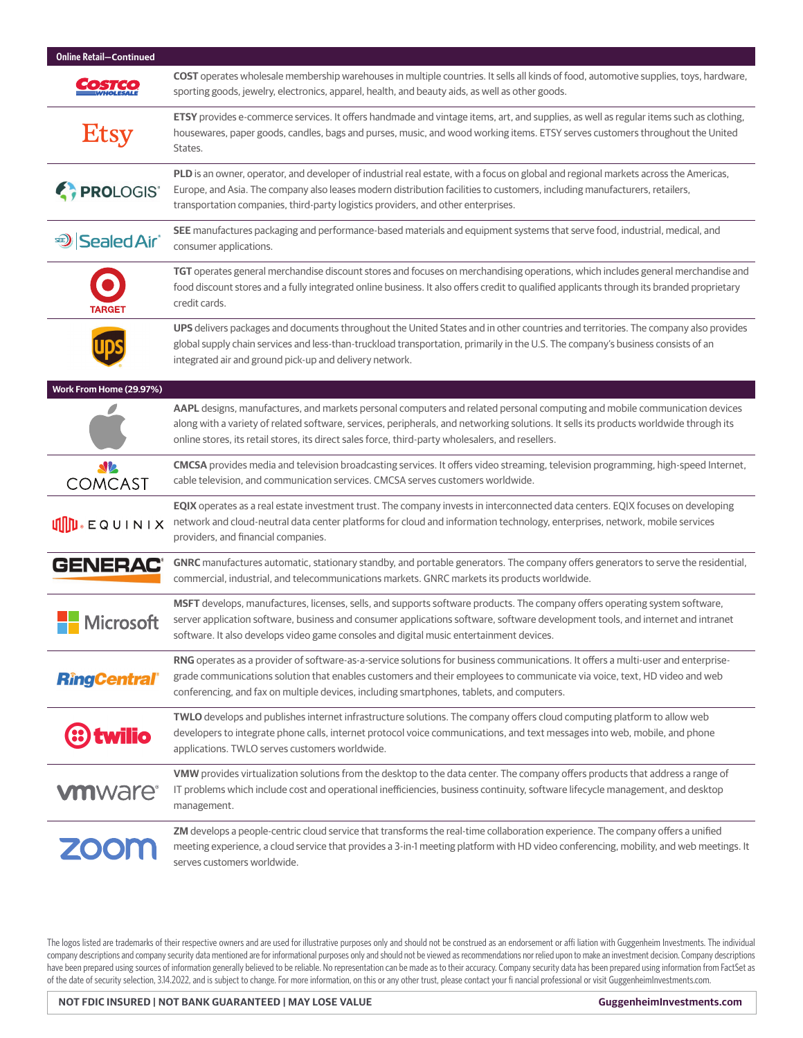| <b>Online Retail-Continued</b> |                                                                                                                                                                                                                                                                                                                                                                           |
|--------------------------------|---------------------------------------------------------------------------------------------------------------------------------------------------------------------------------------------------------------------------------------------------------------------------------------------------------------------------------------------------------------------------|
|                                | COST operates wholesale membership warehouses in multiple countries. It sells all kinds of food, automotive supplies, toys, hardware,<br>sporting goods, jewelry, electronics, apparel, health, and beauty aids, as well as other goods.                                                                                                                                  |
| Etsy                           | ETSY provides e-commerce services. It offers handmade and vintage items, art, and supplies, as well as regular items such as clothing,<br>housewares, paper goods, candles, bags and purses, music, and wood working items. ETSY serves customers throughout the United<br>States.                                                                                        |
| <b>PROLOGIS</b>                | PLD is an owner, operator, and developer of industrial real estate, with a focus on global and regional markets across the Americas,<br>Europe, and Asia. The company also leases modern distribution facilities to customers, including manufacturers, retailers,<br>transportation companies, third-party logistics providers, and other enterprises.                   |
| <b>D</b> Sealed Air®           | SEE manufactures packaging and performance-based materials and equipment systems that serve food, industrial, medical, and<br>consumer applications.                                                                                                                                                                                                                      |
| TARGEI                         | TGT operates general merchandise discount stores and focuses on merchandising operations, which includes general merchandise and<br>food discount stores and a fully integrated online business. It also offers credit to qualified applicants through its branded proprietary<br>credit cards.                                                                           |
|                                | UPS delivers packages and documents throughout the United States and in other countries and territories. The company also provides<br>global supply chain services and less-than-truckload transportation, primarily in the U.S. The company's business consists of an<br>integrated air and ground pick-up and delivery network.                                         |
| Work From Home (29.97%)        |                                                                                                                                                                                                                                                                                                                                                                           |
|                                | AAPL designs, manufactures, and markets personal computers and related personal computing and mobile communication devices<br>along with a variety of related software, services, peripherals, and networking solutions. It sells its products worldwide through its<br>online stores, its retail stores, its direct sales force, third-party wholesalers, and resellers. |
| $\Delta \nu$<br><b>COMCAST</b> | CMCSA provides media and television broadcasting services. It offers video streaming, television programming, high-speed Internet,<br>cable television, and communication services. CMCSA serves customers worldwide.                                                                                                                                                     |
| <b>UID</b> .EQUINIX            | EQIX operates as a real estate investment trust. The company invests in interconnected data centers. EQIX focuses on developing<br>network and cloud-neutral data center platforms for cloud and information technology, enterprises, network, mobile services<br>providers, and financial companies.                                                                     |
| <b>GENERAC®</b>                | GNRC manufactures automatic, stationary standby, and portable generators. The company offers generators to serve the residential,<br>commercial, industrial, and telecommunications markets. GNRC markets its products worldwide.                                                                                                                                         |
| <b>Microsoft</b>               | MSFT develops, manufactures, licenses, sells, and supports software products. The company offers operating system software,<br>server application software, business and consumer applications software, software development tools, and internet and intranet<br>software. It also develops video game consoles and digital music entertainment devices.                 |
| <b>RingCentral</b> ®           | RNG operates as a provider of software-as-a-service solutions for business communications. It offers a multi-user and enterprise-<br>grade communications solution that enables customers and their employees to communicate via voice, text, HD video and web<br>conferencing, and fax on multiple devices, including smartphones, tablets, and computers.               |
| twilio                         | TWLO develops and publishes internet infrastructure solutions. The company offers cloud computing platform to allow web<br>developers to integrate phone calls, internet protocol voice communications, and text messages into web, mobile, and phone<br>applications. TWLO serves customers worldwide.                                                                   |
| <b>vm</b> ware <sup>®</sup>    | VMW provides virtualization solutions from the desktop to the data center. The company offers products that address a range of<br>IT problems which include cost and operational inefficiencies, business continuity, software lifecycle management, and desktop<br>management.                                                                                           |
| <b>ZOOM</b>                    | ZM develops a people-centric cloud service that transforms the real-time collaboration experience. The company offers a unified<br>meeting experience, a cloud service that provides a 3-in-1 meeting platform with HD video conferencing, mobility, and web meetings. It<br>serves customers worldwide.                                                                  |

The logos listed are trademarks of their respective owners and are used for illustrative purposes only and should not be construed as an endorsement or affi liation with Guggenheim Investments. The individual company descriptions and company security data mentioned are for informational purposes only and should not be viewed as recommendations nor relied upon to make an investment decision. Company descriptions have been prepared using sources of information generally believed to be reliable. No representation can be made as to their accuracy. Company security data has been prepared using information from FactSet as of the date of security selection, 3.14.2022, and is subject to change. For more information, on this or any other trust, please contact your fi nancial professional or visit GuggenheimInvestments.com.